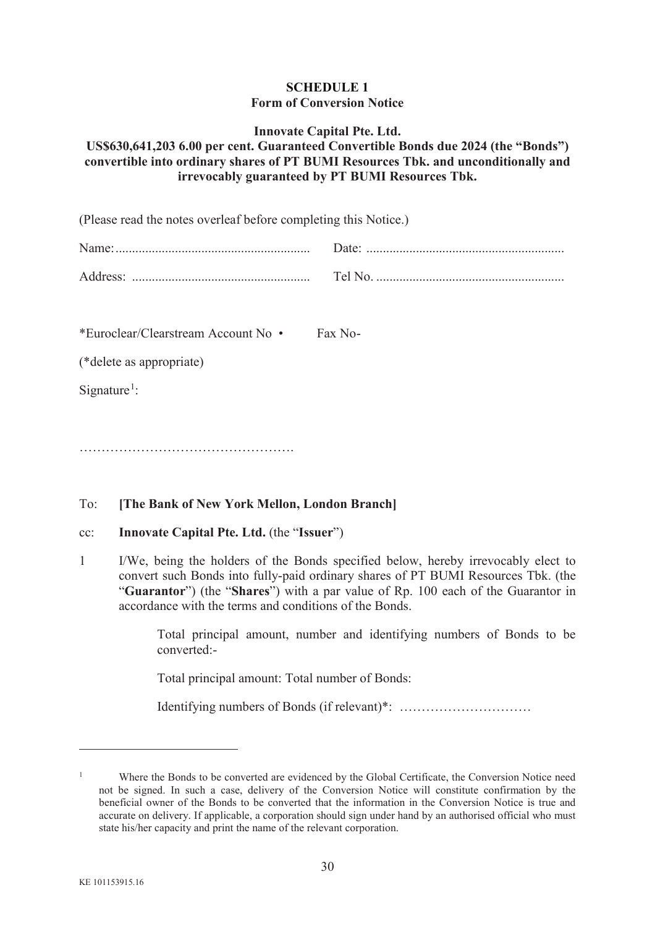### **SCHEDULE 1 Form of Conversion Notice**

#### **Innovate Capital Pte. Ltd.**

## **US\$630,641,203 6.00 per cent. Guaranteed Convertible Bonds due 2024 (the "Bonds") convertible into ordinary shares of PT BUMI Resources Tbk. and unconditionally and irrevocably guaranteed by PT BUMI Resources Tbk.**

(Please read the notes overleaf before completing this Notice.)

| Name:                |            |
|----------------------|------------|
| Address <sup>-</sup> | $\epsilon$ |

\*Euroclear/Clearstream Account No • Fax No -

(\*delete as appropriate)

Signature<sup>1</sup>:

………………………………………………………………………………………

# To: **[The Bank of New York Mellon, London Branch]**

#### cc: **Innovate Capital Pte. Ltd.** (the "**Issuer**")

1 I/We, being the holders of the Bonds specified below, hereby irrevocably elect to convert such Bonds into fully-paid ordinary shares of PT BUMI Resources Tbk. (the "**Guarantor**") (the "**Shares**") with a par value of Rp. 100 each of the Guarantor in accordance with the terms and conditions of the Bonds.

> Total principal amount, number and identifying numbers of Bonds to be converted:-

Total principal amount: Total number of Bonds:

Identifying numbers of Bonds (if relevant)\*: …………………………

<sup>&</sup>lt;sup>1</sup> Where the Bonds to be converted are evidenced by the Global Certificate, the Conversion Notice need not be signed. In such a case, delivery of the Conversion Notice will constitute confirmation by the beneficial owner of the Bonds to be converted that the information in the Conversion Notice is true and accurate on delivery. If applicable, a corporation should sign under hand by an authorised official who must state his/her capacity and print the name of the relevant corporation.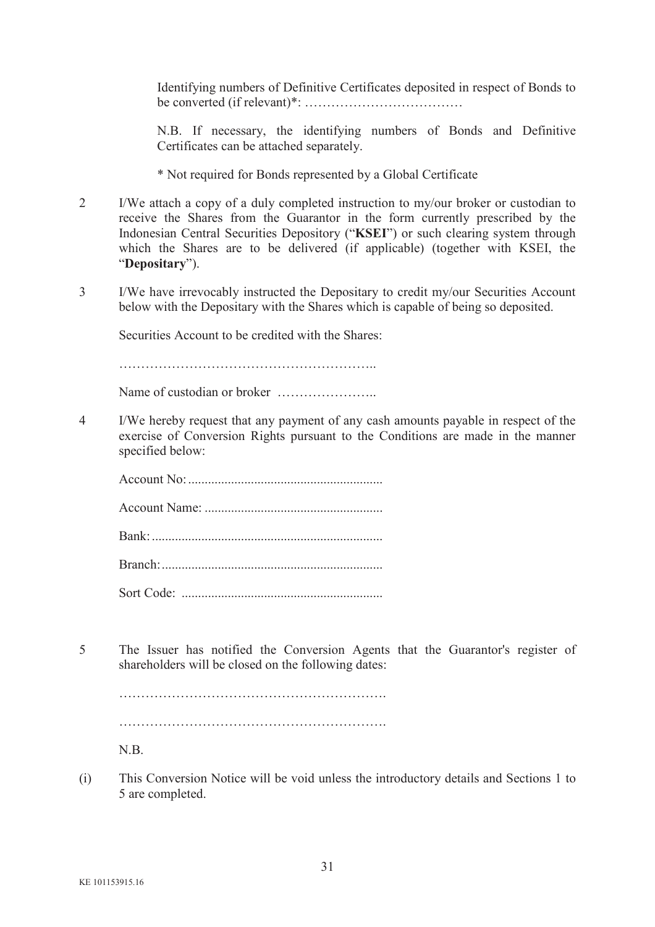Identifying numbers of Definitive Certificates deposited in respect of Bonds to be converted (if relevant)\*: ………………………………

N.B. If necessary, the identifying numbers of Bonds and Definitive Certificates can be attached separately.

- \* Not required for Bonds represented by a Global Certificate
- 2 I/We attach a copy of a duly completed instruction to my/our broker or custodian to receive the Shares from the Guarantor in the form currently prescribed by the Indonesian Central Securities Depository ("**KSEI**") or such clearing system through which the Shares are to be delivered (if applicable) (together with KSEI, the "**Depositary**").
- 3 I/We have irrevocably instructed the Depositary to credit my/our Securities Account below with the Depositary with the Shares which is capable of being so deposited.

Securities Account to be credited with the Shares:

…………………………………………………..

Name of custodian or broker …………………..

4 I/We hereby request that any payment of any cash amounts payable in respect of the exercise of Conversion Rights pursuant to the Conditions are made in the manner specified below:

5 The Issuer has notified the Conversion Agents that the Guarantor's register of shareholders will be closed on the following dates:

……………………………………………………. ……………………………………………………. N.B.

(i) This Conversion Notice will be void unless the introductory details and Sections 1 to 5 are completed.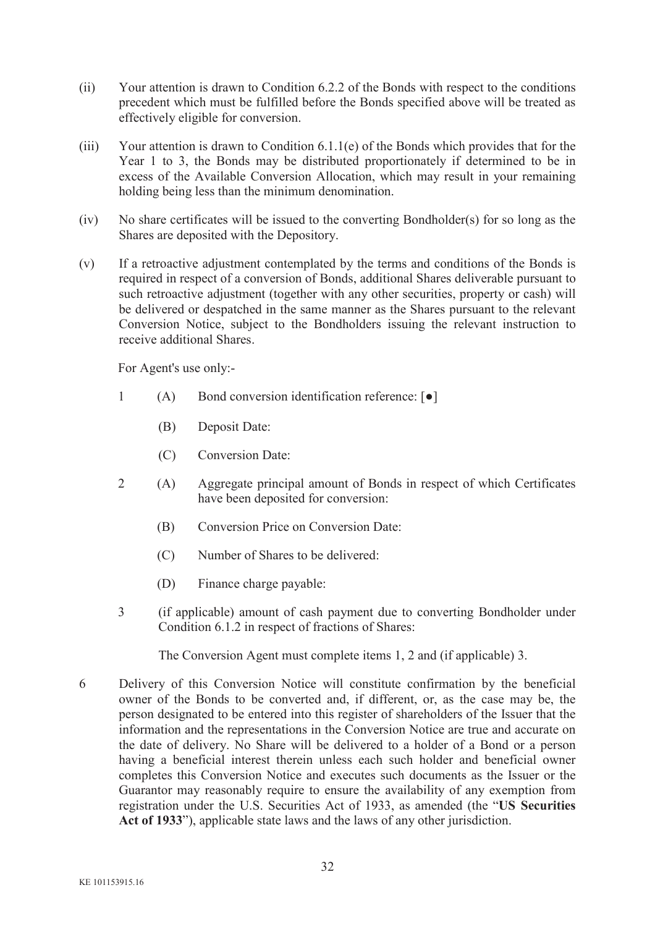- (ii) Your attention is drawn to Condition 6.2.2 of the Bonds with respect to the conditions precedent which must be fulfilled before the Bonds specified above will be treated as effectively eligible for conversion.
- (iii) Your attention is drawn to Condition 6.1.1(e) of the Bonds which provides that for the Year 1 to 3, the Bonds may be distributed proportionately if determined to be in excess of the Available Conversion Allocation, which may result in your remaining holding being less than the minimum denomination.
- (iv) No share certificates will be issued to the converting Bondholder(s) for so long as the Shares are deposited with the Depository.
- (v) If a retroactive adjustment contemplated by the terms and conditions of the Bonds is required in respect of a conversion of Bonds, additional Shares deliverable pursuant to such retroactive adjustment (together with any other securities, property or cash) will be delivered or despatched in the same manner as the Shares pursuant to the relevant Conversion Notice, subject to the Bondholders issuing the relevant instruction to receive additional Shares.

For Agent's use only:-

- 1 (A) Bond conversion identification reference:  $\lceil \bullet \rceil$ 
	- (B) Deposit Date:
	- (C) Conversion Date:
- 2 (A) Aggregate principal amount of Bonds in respect of which Certificates have been deposited for conversion:
	- (B) Conversion Price on Conversion Date:
	- (C) Number of Shares to be delivered:
	- (D) Finance charge payable:
- 3 (if applicable) amount of cash payment due to converting Bondholder under Condition 6.1.2 in respect of fractions of Shares:

The Conversion Agent must complete items 1, 2 and (if applicable) 3.

6 Delivery of this Conversion Notice will constitute confirmation by the beneficial owner of the Bonds to be converted and, if different, or, as the case may be, the person designated to be entered into this register of shareholders of the Issuer that the information and the representations in the Conversion Notice are true and accurate on the date of delivery. No Share will be delivered to a holder of a Bond or a person having a beneficial interest therein unless each such holder and beneficial owner completes this Conversion Notice and executes such documents as the Issuer or the Guarantor may reasonably require to ensure the availability of any exemption from registration under the U.S. Securities Act of 1933, as amended (the "**US Securities Act of 1933**"), applicable state laws and the laws of any other jurisdiction.